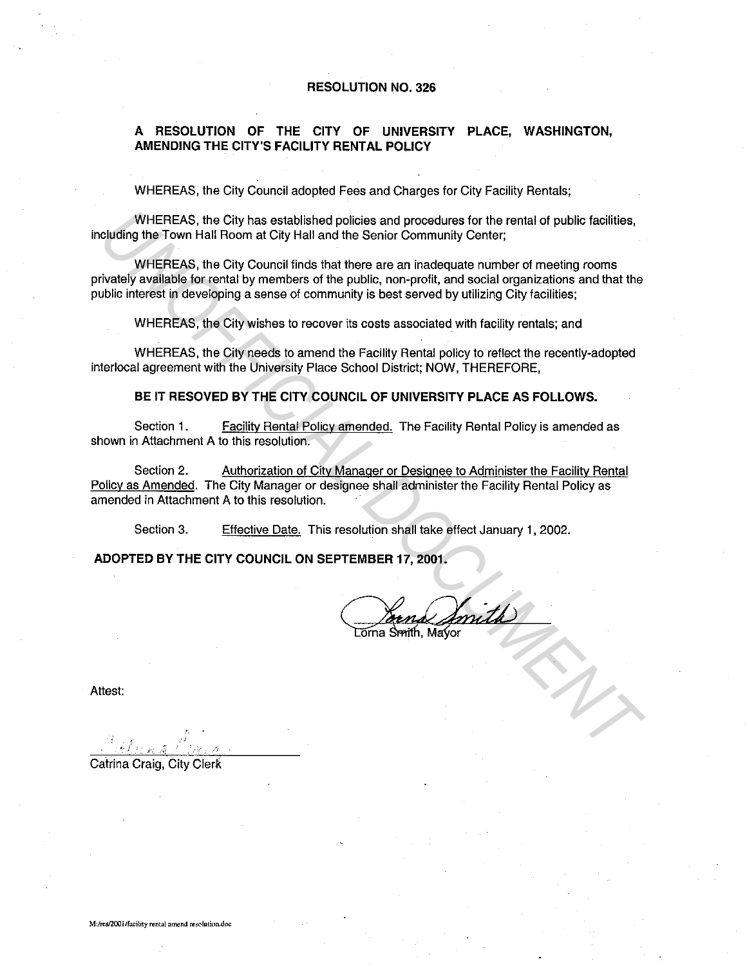#### **RESOLUTION NO. 326**

## **A RESOLUTION OF THE CITY OF UNIVERSITY PLACE, WASHINGTON, AMENDING THE CITY'S FACILITY RENTAL POLICY**

WHEREAS, the City Council adopted Fees and Charges for City Facility Rentals;

WHEREAS, the City has established policies and procedures for the rental of public facilities, including the Town Hall Room at City Hall and the Senior Community Center;

WHEREAS, the City Council finds that there are an inadequate number of meeting rooms privately available for rental by members of the public, non-profit, and social organizations and that the public interest in developing a sense of community is best served by utilizing City facilities; WHEREAS, the City has established policies and procedures for the rental of public facilities,<br>
UNIFEREAS, the City Council finds that the Senior Community Center;<br>
WHEREAS, the City Council finds that there are an indedeq

WHEREAS, the City wishes to recover its costs associated with facility rentals; and

WHEREAS, the City needs to amend the Facility Rental policy to reflect the recently-adopted interlocal agreement with the University Place School District; NOW, THEREFORE,

**BE IT RESOVED BY THE CITY COUNCIL OF UNIVERSITY PLACE AS FOLLOWS.** 

Section 1. Facility Rental Policy amended. The Facility Rental Policy is amended as shown in Attachment A to this resolution.

Section 2. Authorization of City Manager or Designee to Administer the Facility Rental Policy as Amended. The City Manager or designee shall administer the Facility Rental Policy as amended in Attachment A to this resolution.

Section 3. Effective Date. This resolution shall take effect January 1, 2002.

**ADOPTED BY THE CITY COUNCIL ON SEPTEMBER** 17, **2001.** 

Attest:

Catrina Craig, City Clerk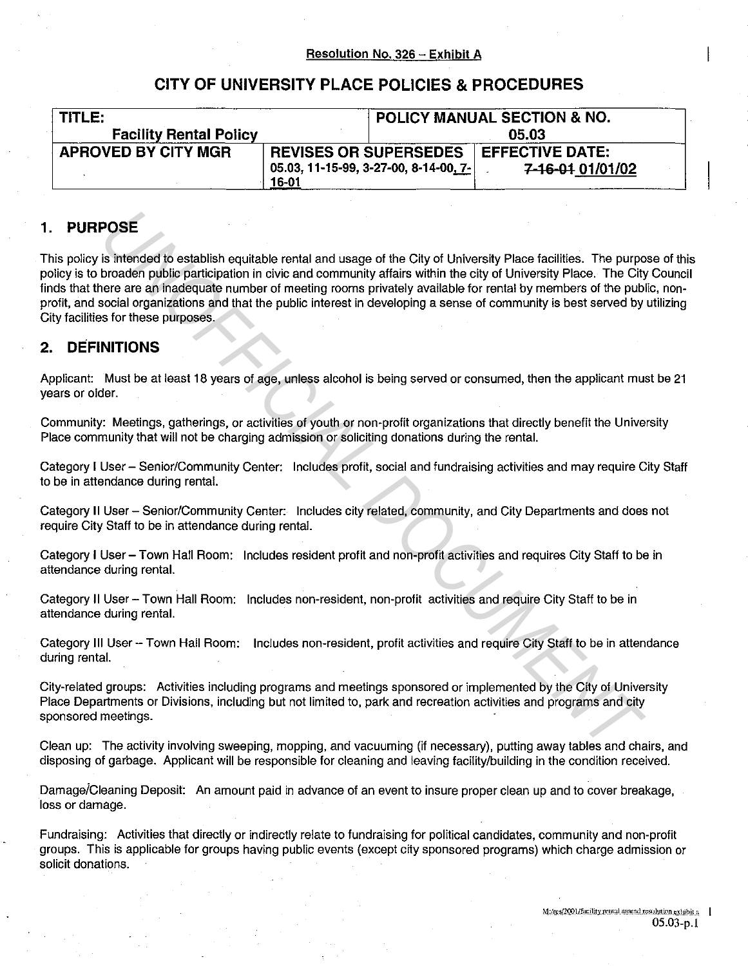# **CITY OF UNIVERSITY PLACE POLICIES & PROCEDURES**

| TITLE:                        |                              |                                       | <b>POLICY MANUAL SECTION &amp; NO.</b> |
|-------------------------------|------------------------------|---------------------------------------|----------------------------------------|
| <b>Facility Rental Policy</b> |                              |                                       | 05.03                                  |
| <b>APROVED BY CITY MGR</b>    | <b>REVISES OR SUPERSEDES</b> |                                       | <b>EFFECTIVE DATE:</b>                 |
|                               | 16-01                        | 05.03, 11-15-99, 3-27-00, 8-14-00, 7- | 7-16-01 01/01/02                       |

# **1. PURPOSE**

This policy is intended to establish equitable rental and usage of the City of University Place facilities. The purpose of this policy is to broaden public participation in civic and community affairs within the city of University Place. The City Council finds that there are an inadequate number of meeting rooms privately available for rental by members of the public, nonprofit, and social organizations and that the public interest in developing a sense of community is best served by utilizing City facilities for these purposes. **POSE**<br> **IS Internet to establish equitable rental and usage of the City of University Place facilities. The purptocoden public participation in civic and community affairs within the eity of University Place. The City<br>
Dr** 

# **2. DEFINITIONS**

Applicant: Must be at least 18 years of age, unless alcohol is being served or consumed, then the applicant must be 21 years or older.

Community: Meetings, gatherings, or activities of youth or non-profit organizations that directly benefit the University Place community that will not be charging admission or soliciting donations during the rental.

Category I User - Senior/Community Center: Includes profit, social and fundraising activities and may require City Staff to be in attendance during rental.

Category **II** User- Senior/Community Center: Includes city related, community, and City Departments and does not require City Staff to be in attendance during rental.

Category I User-Town Hall Room: Includes resident profit and non-profit activities and requires City Staff to be in attendance during rental.

Category II User - Town Hall Room: Includes non-resident, non-profit activities and require City Staff to be in attendance during rental.

Category **Ill** User- Town Hall Room: Includes non-resident, profit activities and require City Staff to be in attendance during rental.

City-related groups: Activities including programs and meetings sponsored or implemented by the City of University Place Departments or Divisions, including but not limited to, park and recreation activities and programs and city sponsored meetings.

Clean up: The activity involving sweeping, mopping, and vacuuming (if necessary), putting away tables and chairs, and disposing of garbage. Applicant will be responsible for cleaning and leaving facility/building in the condition received.

Damage/Cleaning Deposit: An amount paid in advance of an event to insure proper clean up and to cover breakage, loss or damage.

Fundraising: Activities that directly or indirectly relate to fundraising for political candidates, community and non-profit groups. This is applicable for groups having public events (except city sponsored programs) which charge admission or solicit donations.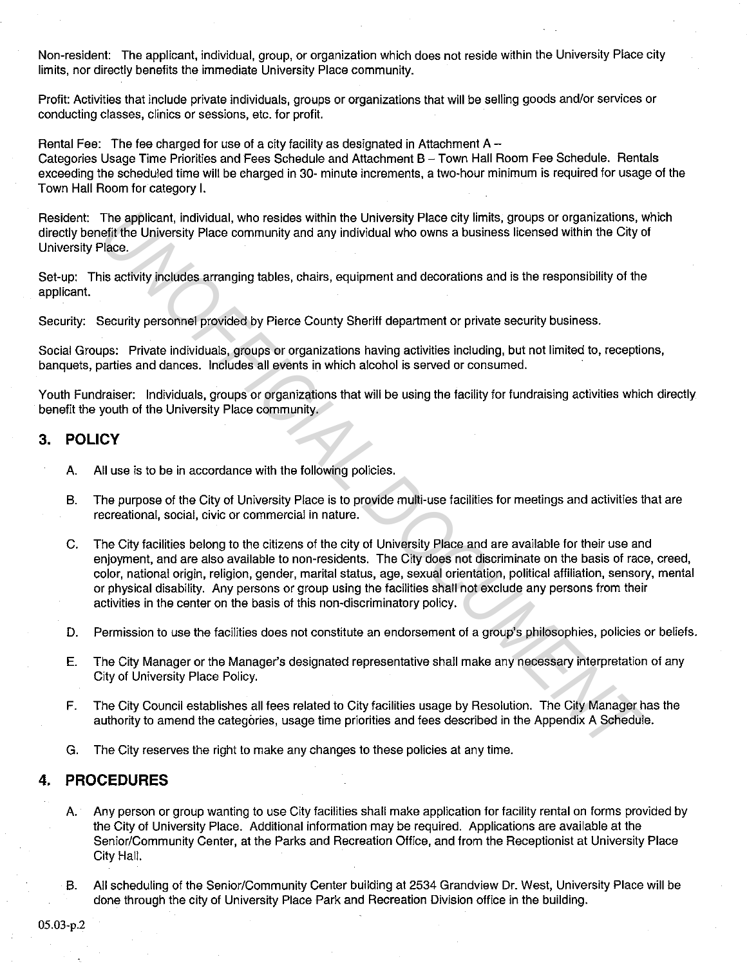Non-resident: The applicant, individual, group, or organization which does not reside within the University Place city limits, nor directly benefits the immediate University Place community.

Profit: Activities that include private individuals, groups or organizations that will be selling goods and/or services or conducting classes, clinics or sessions, etc. for profit.

Rental Fee: The fee charged for use of a city facility as designated in Attachment  $A -$ Categories Usage Time Priorities and Fees Schedule and Attachment B - Town Hall Room Fee Schedule. Rentals exceeding the scheduled time will be charged in 30- minute increments, a two-hour minimum is required for usage of the Town Hall Room for category I.

Resident: The applicant, individual, who resides within the University Place city limits, groups or organizations, which directly benefit the University Place community and any individual who owns a business licensed within the City of University Place.

Set-up: This activity includes arranging tables, chairs, equipment and decorations and is the responsibility of the applicant.

Security: Security personnel provided by Pierce County Sheriff department or private security business.

Social Groups: Private individuals, groups or organizations having activities including, but not limited to, receptions, banquets, parties and dances. Includes all events in which alcohol is served or consumed.

Youth Fundraiser: Individuals, groups or organizations that will be using the facility for fundraising activities which directly benefit the youth of the University Place community.

# 3. **POLICY**

- A. All use is to be in accordance with the following policies.
- B. The purpose of the City of University Place is to provide multi-use facilities for meetings and activities that are recreational, social, civic or commercial in nature.
- C. The City facilities belong to the citizens of the city of University Place and are available for their use and enjoyment, and are also available to non-residents. The City does not discriminate on the basis of race, creed, color, national origin, religion, gender, marital status, age, sexual orientation, political affiliation, sensory, mental or physical disability. Any persons or group using the facilities shall not exclude any persons from their activities in the center on the basis of this non-discriminatory policy. The applicant, individual, who resides within the University Place city limits, groups or organizations, when the filter of the City control of the City Case community and any individual who owns a business licensed within
- D. Permission to use the facilities does not constitute an endorsement of a group's philosophies, policies or beliefs.
- E. The City Manager or the Manager's designated representative shall make any necessary interpretation of any City of University Place Policy.
- F. The City Council establishes all fees related to City facilities usage by Resolution. The City Manager has the authority to amend the categories, usage time priorities and fees described in the Appendix A Schedule.
- G. The City reserves the right to make any changes to these policies at any time.

# **4. PROCEDURES**

- A. Any person or group wanting to use City facilities shall make application for facility rental on forms provided by the City of University Place. Additional information may be required. Applications are available at the Senior/Community Center, at the Parks and Recreation Office, and from the Receptionist at University Place City Hall.
- B. All scheduling of the Senior/Community Center building at 2534 Grandview Dr. West, University Place will be done through the city of University Place Park and Recreation Division office in the building.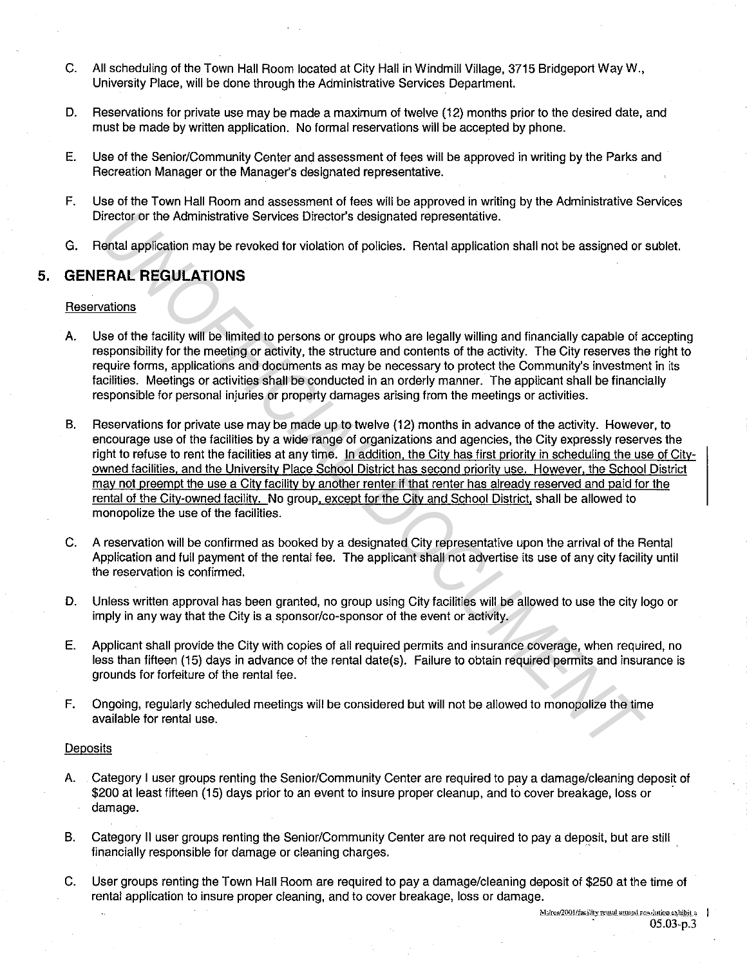- C. All scheduling of the Town Hall Room located at City Hall in Windmill Village, 3715 Bridgeport Way W., University Place, will be done through the Administrative Services Department.
- D. Reservations for private use may be made a maximum of twelve (12) months prior to the desired date, and must be made by written application. No formal reservations will be accepted by phone.
- E. Use of the Senior/Community Center and assessment of fees will be approved in writing by the Parks and Recreation Manager or the Manager's designated representative.
- F. Use of the Town Hall Room and assessment of fees will be approved in writing by the Administrative Services Director or the Administrative Services Director's designated representative.
- G. Rental application may be revoked for violation of policies. Rental application shall not be assigned or sublet.

# 5. **GENERAL REGULATIONS**

### **Reservations**

- A. Use of the facility will be limited to persons or groups who are legally willing and financially capable of accepting responsibility for the meeting or activity, the structure and contents of the activity. The City reserves the right to require forms, applications and documents as may be necessary to protect the Community's investment in its facilities. Meetings or activities shall be conducted in an orderly manner. The applicant shall be financially responsible for personal injuries or property damages arising from the meetings or activities.
- B. Reservations for private use may be made up to twelve (12) months in advance of the activity. However, to encourage use of the facilities by a wide range of organizations and agencies, the City expressly reserves the right to refuse to rent the facilities at any time. In addition. the City has first priority in scheduling the use of Cityowned facilities. and the University Place School District has second priority use. However. the School District may not preempt the use a City facility by another renter if that renter has already reserved and paid for the rental of the City-owned facility. No group. except for the City and School District, shall be allowed to monopolize the use of the facilities. birector or the Administrative Services Director's designated representative.<br>
First-RL REGULATIONS<br>
ERAL REGULATIONS<br>
ESTAN: REGULATIONS<br>
Mations<br>
wations<br>
wations<br>
wations<br>
wations<br>
wations<br>
wations<br>
wations<br>
wations<br>
wa
- C. A reservation will be confirmed as booked by a designated City representative upon the arrival of the Rental Application and full payment of the rental fee. The applicant shall not advertise its use of any city facility until the reservation is confirmed.
- D. Unless written approval has been granted, no group using City facilities will be allowed to use the city logo or imply in any way that the City is a sponsor/co-sponsor of the event or activity.
- E. Applicant shall provide the City with copies of all required permits and insurance coverage, when required, no less than fifteen (15) days in advance of the rental date(s). Failure to obtain required permits and insurance is grounds for forfeiture of the rental fee.
- F. Ongoing, regularly scheduled meetings will be considered but will not be allowed to monopolize the time available for rental use.

### **Deposits**

- A. Category I user groups renting the Senior/Community Center are required to pay a damage/cleaning deposit of \$200 at least fifteen (15) days prior to an event to insure proper cleanup, and to cover breakage, loss or damage.
- B. Category II user groups renting the Senior/Community Center are not required to pay a deposit, but are still financially responsible for damage or cleaning charges.
- C. User groups renting the Town Hall Room are required to pay a damage/cleaning deposit of \$250 at the time of rental application to insure proper cleaning, and to cover breakage, loss or damage.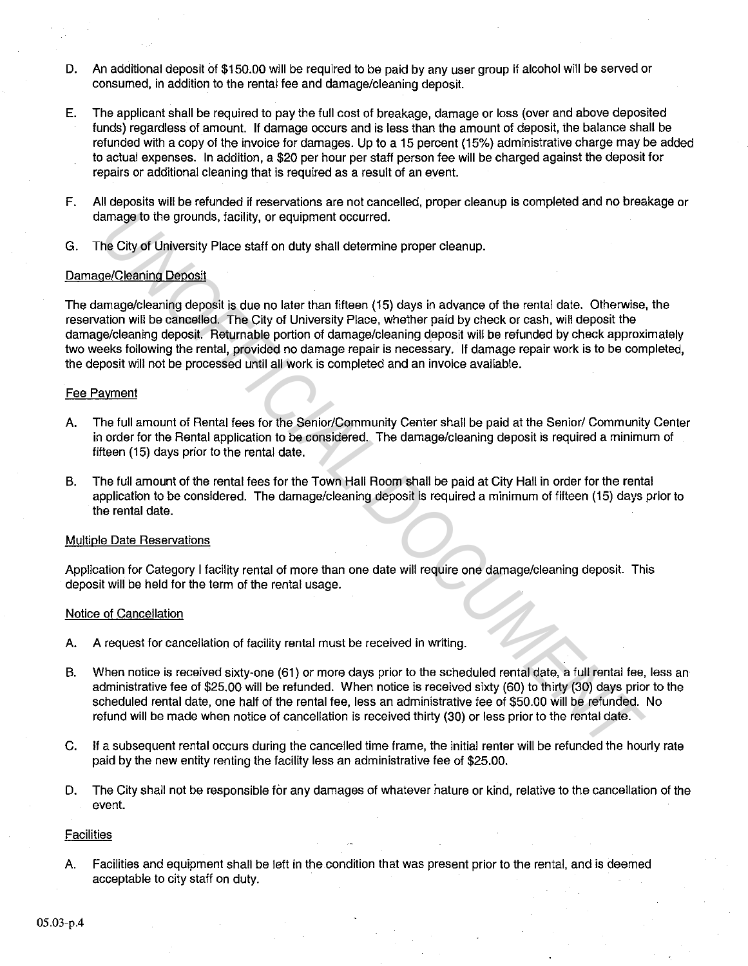- D. An additional deposit of \$150.00 will be required to be paid by any user group if alcohol will be served or consumed, in addition to the rental fee and damage/cleaning deposit.
- E. The applicant shall be required to pay the full cost of breakage, damage or loss {over and above deposited funds) regardless of amount. If damage occurs and is less than the amount of deposit, the balance shall be refunded with a copy of the invoice for damages. Up to a 15 percent (15%) administrative charge may be added to actual expenses. In addition, a \$20 per hour per staff person fee will be charged against the deposit for repairs or additional cleaning that is required as a result of an event.
- F. All deposits will be refunded if reservations are not cancelled, proper cleanup is completed and no breakage or damage to the grounds, facility, or equipment occurred.
- G. The City of University Place staff on duty shall determine proper cleanup.

#### Damage/Cleaning Deposit

The damage/cleaning deposit is due no later than fifteen (15) days in advance of the rental date. Otherwise, the reservation will be cancelled. The City of University Place, whether paid by check or cash, will deposit the damage/cleaning deposit. Returnable portion of damage/cleaning deposit will be refunded by check approximately two weeks following the rental, provided no damage repair is necessary. If damage repair work is to be completed, the deposit will not be processed until all work is completed and an invoice available. amage to the grounds, facility, or equipment occurred.<br> **Inc.** City of University Place staff on duty shall determine proper cleanup.<br>
<u>ReCleaning Deposit</u><br>
<u>ReCleaning Deposits</u><br>
Inc. City of University Place staff on dut

#### Fee Payment

- A. The full amount of Rental fees for the Senior/Community Center shall be paid at the Senior/ Community Center in order for the Rental application to be considered. The damage/cleaning deposit is required a minimum of fifteen (15) days prior to the rental date.
- B. The full amount of the rental fees for the Town Hall Room shall be paid at City Hall in order for the rental application to be considered. The damage/cleaning deposit is required a minimum of fifteen (15) days prior to the rental date.

#### Multiple Date Reservations

Application for Category I facility rental of more than one date will require one damage/cleaning deposit. This deposit will be held for the term of the rental usage.

#### Notice of Cancellation

- A. A request for cancellation of facility rental must be received in writing.
- B. When notice is received sixty-one (61) or more days prior to the scheduled rental date, a full rental fee, less an administrative fee of \$25.00 will be refunded. When notice is received sixty (60) to thirty (30) days prior to the scheduled rental date, one half of the rental fee, less an administrative fee of \$50.00 will be refunded. No refund will be made when notice of cancellation is received thirty (30) or less prior to the rental date.
- C. If a subsequent rental occurs during the cancelled time frame, the initial renter will be refunded the hourly rate paid by the new entity renting the facility less an administrative fee of \$25.00.
- D. The City shall not be responsible for any damages of whatever nature or kind, relative to the cancellation of the event.

### **Facilities**

A. Facilities and equipment shall be left in the condition that was present prior to the rental, and is deemed acceptable to city staff on duty.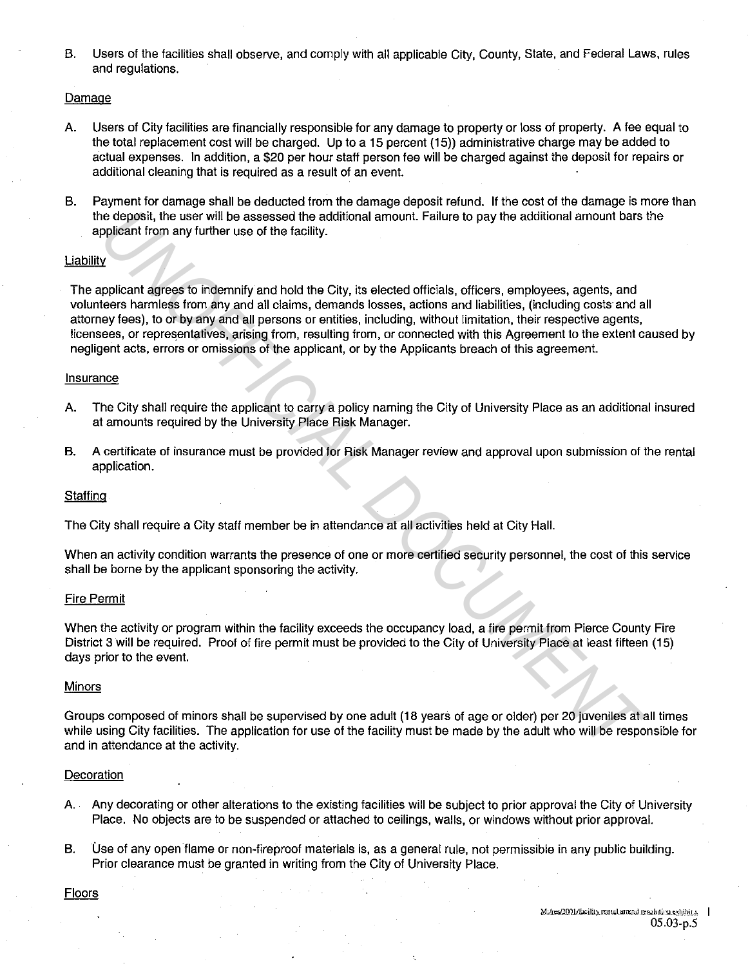B. Users of the facilities shall observe, and comply with all applicable City, County, State, and Federal Laws, rules and regulations.

#### Damage

- A. Users of City facilities are financially responsible for any damage to property or loss of property. A fee equal to the total replacement cost will be charged. Up to a 15 percent (15)) administrative charge may be added to actual expenses. In addition, a \$20 per hour staff person fee will be charged against the deposit for repairs or additional cleaning that is required as a result of an event.
- B. Payment for damage shall be deducted from the damage deposit refund. If the cost of the damage is more than the deposit, the user will be assessed the additional amount. Failure to pay the additional amount bars the applicant from any further use of the facility.

#### Liability

The applicant agrees to indemnify and hold the City, its elected officials, officers, employees, agents, and volunteers harmless from any and all claims, demands losses, actions and liabilities, (including costs and all attorney fees), to or by any and all persons or entities, including, without limitation, their respective agents, licensees, or representatives, arising from, resulting from, or connected with this Agreement to the extent caused by negligent acts, errors or omissions of the applicant, or by the Applicants breach of this agreement. is deposit, the user will be assessed the additional amount. Failure to pay the additional amount bars<br>policiant from any further use of the facility.<br>Welcometric many further use of the facility.<br>Included officials, offic

#### Insurance

- A. The City shall require the applicant to carry a policy naming the City of University Place as an additional insured at amounts required by the University Place Risk Manager.
- B. A certificate of insurance must be provided for Risk Manager review and approval upon submission of the rental application.

#### **Staffing**

The City shall require a City staff member be in attendance at all activities held at City Hall.

When an activity condition warrants the presence of one or more certified security personnel, the cost of this service shall be borne by the applicant sponsoring the activity.

#### Fire Permit

When the activity or program within the facility exceeds the occupancy load, a fire permit from Pierce County Fire District 3 will be required. Proof of fire permit must be provided to the City of University Place at least fifteen (15) days prior to the event.

Groups composed of minors shall be supervised by one adult (18 years of age or older) per 20 juveniles at all times while using City facilities. The application for use of the facility must be made by the adult who will be responsible for and in attendance at the activity.

#### Decoration

- A. Any decorating or other alterations to the existing facilities will be subject to prior approval the City of University Place. No objects are to be suspended or attached to ceilings, walls, or windows without prior approval.
- B. Use of any open flame or non-fireproof materials is, as a general rule, not permissible in any public building. Prior clearance must be granted in writing from the City of University Place.

**Floors**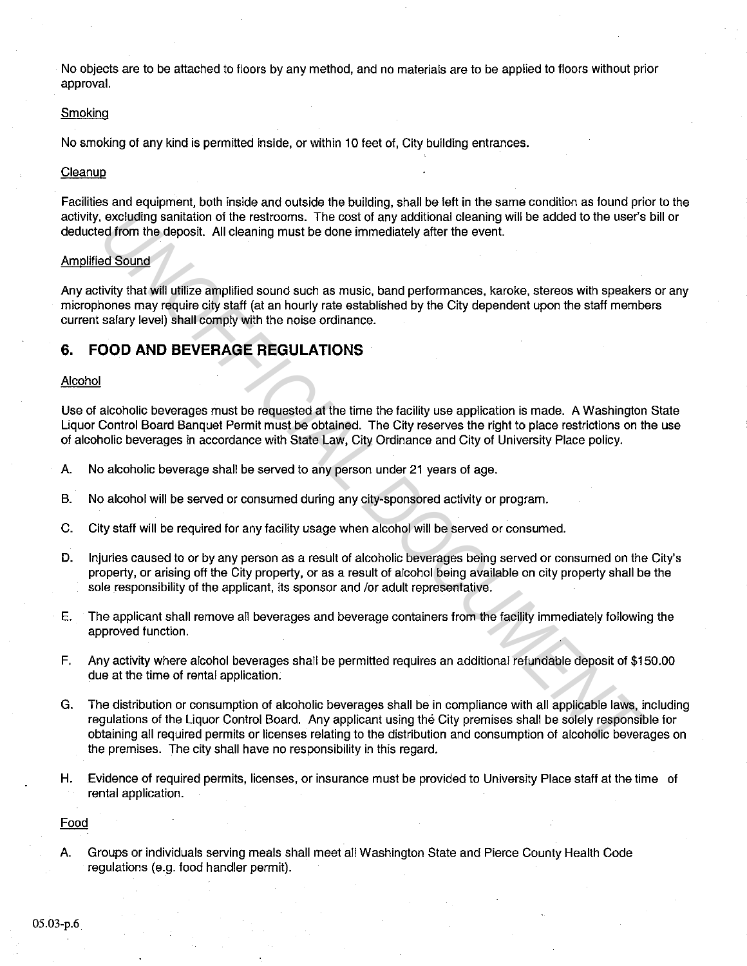No objects are to be attached to floors by any method, and no materials are to be applied to floors without prior approval.

#### **Smoking**

No smoking of any kind is permitted inside, or within 10 feet of, City building entrances.

#### **Cleanup**

Facilities and equipment, both inside and outside the building, shall be left in the same condition as found prior to the activity, excluding sanitation of the restrooms. The cost of any additional cleaning will be added to the user's bill or deducted from the deposit. All cleaning must be done immediately after the event.

#### Amplified Sound

Any activity that will utilize amplified sound such as music, band performances, karoke, stereos with speakers or any microphones may require city staff (at an hourly rate established by the City dependent upon the staff members current salary level) shall comply with the noise ordinance.

# **6. FOOD AND BEVERAGE REGULATIONS**

#### Alcohol

Use of alcoholic beverages must be requested at the time the facility use application is made. A Washington State Liquor Control Board Banquet Permit must be obtained. The City reserves the right to place restrictions on the use of alcoholic beverages in accordance with State Law, City Ordinance and City of University Place policy.

- A. No alcoholic beverage shall be served to any person under 21 years of age.
- B. No alcohol will be served or consumed during any city-sponsored activity or program.
- C. City staff will be required for any facility usage when alcohol will be served or consumed.
- D. Injuries caused to or by any person as a result of alcoholic beverages being served or consumed on the City's property, or arising off the City property, or as a result of alcohol being available on city property shall be the sole responsibility of the applicant, its sponsor and /or adult representative.
- E. The applicant shall remove all beverages and beverage containers from the facility immediately following the approved function.
- F. Any activity where alcohol beverages shall be permitted requires an additional refundable deposit of \$150.00 due at the time of rental application.
- G. The distribution or consumption of alcoholic beverages shall be in compliance with all applicable laws, including regulations of the Liquor Control Board. Any applicant using the City premises shall be solely responsible for obtaining all required permits or licenses relating to the distribution and consumption of alcoholic beverages on the premises. The city shall have no responsibility in this regard. *c*, excluding sanitation of the restrooms. The cost of any additional cleaning will be added to the user's<br>ed Sound<br>ed from the deposit. All cleaning must be done immediately after the event.<br>Hydy that will ultilize ampli
- H. Evidence of required permits, licenses, or insurance must be provided to University Place staff at the time of rental application.

#### Food

A. Groups or individuals serving meals shall meet all Washington State and Pierce County Health Code regulations (e.g. food handler permit).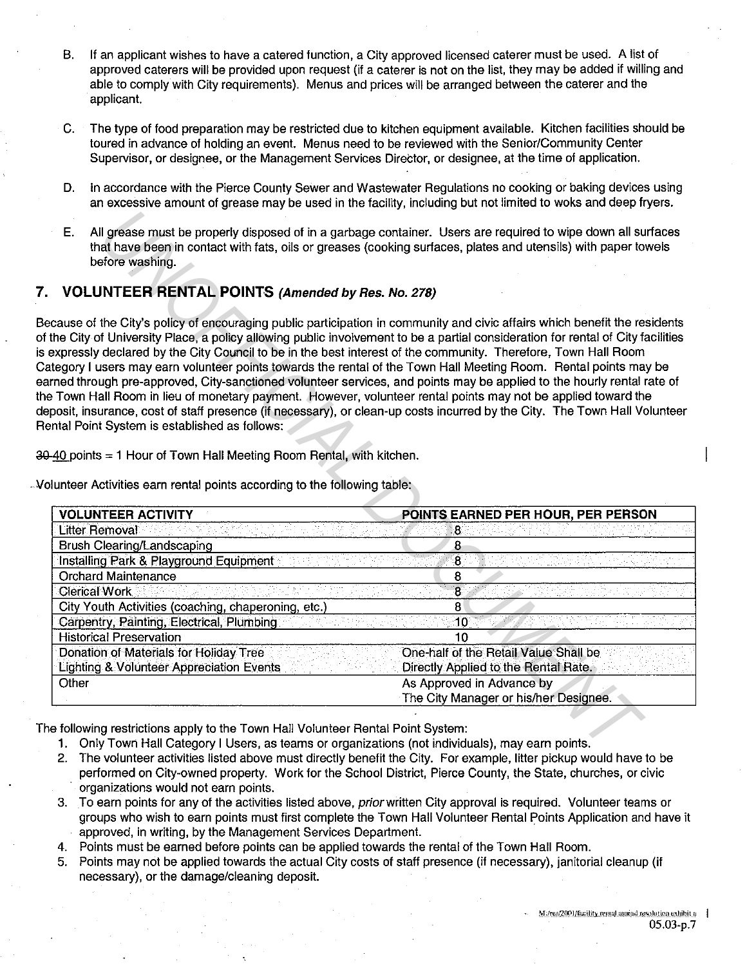- B. If an applicant wishes to have a catered function, a City approved licensed caterer must be used. A list of approved caterers will be provided upon request (if a caterer is not on the list, they may be added if willing and able to comply with City requirements). Menus and prices will be arranged between the caterer and the applicant.
- C. The type of food preparation may be restricted due to kitchen equipment available. Kitchen facilities should be toured in advance of holding an event. Menus need to be reviewed with the Senior/Community Center Supervisor, or designee, or the Management Services Director, or designee, at the time of application.
- D. In accordance with the Pierce County Sewer and Wastewater Regulations no cooking or baking devices using an excessive amount of grease may be used in the facility, including but not limited to woks and deep fryers.
- E. All grease must be properly disposed of in a garbage container. Users are required to wipe down all surfaces that have been in contact with fats, oils or greases (cooking surfaces, plates and utensils) with paper towels before washing.

# **7. VOLUNTEER RENTAL POINTS (Amended by Res. No.** 278)

.. Volunteer Activities earn rental points according to the following table:

| Ε.<br>before washing.<br><b>VOLUNTEER RENTAL POINTS (Amended by Res. No. 278)</b>                                                                                                                                                                                                                                                                                                                                       | All grease must be properly disposed of in a garbage container. Users are required to wipe down all surfaces<br>that have been in contact with fats, oils or greases (cooking surfaces, plates and utensils) with paper towels                                                                                                                                                                                                                                                                                                                                                                                                                                                                                                                                                                                                                                      |
|-------------------------------------------------------------------------------------------------------------------------------------------------------------------------------------------------------------------------------------------------------------------------------------------------------------------------------------------------------------------------------------------------------------------------|---------------------------------------------------------------------------------------------------------------------------------------------------------------------------------------------------------------------------------------------------------------------------------------------------------------------------------------------------------------------------------------------------------------------------------------------------------------------------------------------------------------------------------------------------------------------------------------------------------------------------------------------------------------------------------------------------------------------------------------------------------------------------------------------------------------------------------------------------------------------|
|                                                                                                                                                                                                                                                                                                                                                                                                                         |                                                                                                                                                                                                                                                                                                                                                                                                                                                                                                                                                                                                                                                                                                                                                                                                                                                                     |
|                                                                                                                                                                                                                                                                                                                                                                                                                         |                                                                                                                                                                                                                                                                                                                                                                                                                                                                                                                                                                                                                                                                                                                                                                                                                                                                     |
| Intal Point System is established as follows:<br>-40 points = 1 Hour of Town Hall Meeting Room Rental, with kitchen.                                                                                                                                                                                                                                                                                                    | cause of the City's policy of encouraging public participation in community and civic affairs which benefit the residents<br>the City of University Place, a policy allowing public involvement to be a partial consideration for rental of City facilities<br>expressly declared by the City Council to be in the best interest of the community. Therefore, Town Hall Room<br>ttegory I users may earn volunteer points towards the rental of the Town Hall Meeting Room. Rental points may be<br>rned through pre-approved, City-sanctioned volunteer services, and points may be applied to the hourly rental rate of<br>Fown Hall Room in lieu of monetary payment. However, volunteer rental points may not be applied toward the<br>posit, insurance, cost of staff presence (if necessary), or clean-up costs incurred by the City. The Town Hall Volunteer |
|                                                                                                                                                                                                                                                                                                                                                                                                                         |                                                                                                                                                                                                                                                                                                                                                                                                                                                                                                                                                                                                                                                                                                                                                                                                                                                                     |
| lunteer Activities earn rental points according to the following table:                                                                                                                                                                                                                                                                                                                                                 |                                                                                                                                                                                                                                                                                                                                                                                                                                                                                                                                                                                                                                                                                                                                                                                                                                                                     |
|                                                                                                                                                                                                                                                                                                                                                                                                                         | POINTS EARNED PER HOUR, PER PERSON<br>8                                                                                                                                                                                                                                                                                                                                                                                                                                                                                                                                                                                                                                                                                                                                                                                                                             |
|                                                                                                                                                                                                                                                                                                                                                                                                                         |                                                                                                                                                                                                                                                                                                                                                                                                                                                                                                                                                                                                                                                                                                                                                                                                                                                                     |
|                                                                                                                                                                                                                                                                                                                                                                                                                         | 8<br>$\bf 8$                                                                                                                                                                                                                                                                                                                                                                                                                                                                                                                                                                                                                                                                                                                                                                                                                                                        |
|                                                                                                                                                                                                                                                                                                                                                                                                                         | 8                                                                                                                                                                                                                                                                                                                                                                                                                                                                                                                                                                                                                                                                                                                                                                                                                                                                   |
|                                                                                                                                                                                                                                                                                                                                                                                                                         | $\overline{8}$                                                                                                                                                                                                                                                                                                                                                                                                                                                                                                                                                                                                                                                                                                                                                                                                                                                      |
|                                                                                                                                                                                                                                                                                                                                                                                                                         | 8                                                                                                                                                                                                                                                                                                                                                                                                                                                                                                                                                                                                                                                                                                                                                                                                                                                                   |
|                                                                                                                                                                                                                                                                                                                                                                                                                         | 10                                                                                                                                                                                                                                                                                                                                                                                                                                                                                                                                                                                                                                                                                                                                                                                                                                                                  |
|                                                                                                                                                                                                                                                                                                                                                                                                                         | 10                                                                                                                                                                                                                                                                                                                                                                                                                                                                                                                                                                                                                                                                                                                                                                                                                                                                  |
| <b>VOLUNTEER ACTIVITY</b><br><b>Litter Removal</b><br>Brush Clearing/Landscaping<br>Installing Park & Playground Equipment<br><b>Orchard Maintenance</b><br><b>Clerical Work</b><br>City Youth Activities (coaching, chaperoning, etc.)<br>Carpentry, Painting, Electrical, Plumbing<br><b>Historical Preservation</b><br>Donation of Materials for Holiday Tree<br><b>Lighting &amp; Volunteer Appreciation Events</b> | One-half of the Retail Value Shall be<br>Directly Applied to the Rental Rate.                                                                                                                                                                                                                                                                                                                                                                                                                                                                                                                                                                                                                                                                                                                                                                                       |

- 1. Only Town Hall Category I Users, as teams or organizations (not individuals), may earn points.
- 2. The volunteer activities listed above must directly benefit the City. For example, litter pickup would have to be performed on City-owned property. Work for the School District, Pierce County, the State, churches, or civic organizations would not earn points.
- 3. To earn points for any of the activities listed above, prior written City approval is required. Volunteer teams or groups who wish to earn points must first complete the Town Hall Volunteer Rental Points Application and have it approved, in writing, by the Management Services Department.
- 4. Points must be earned before points can be applied towards the rental of the Town Hall Room.
- 5. Points may not be applied towards the actual City costs of staff presence (if necessary), janitorial cleanup (ii necessary), or the damage/cleaning deposit.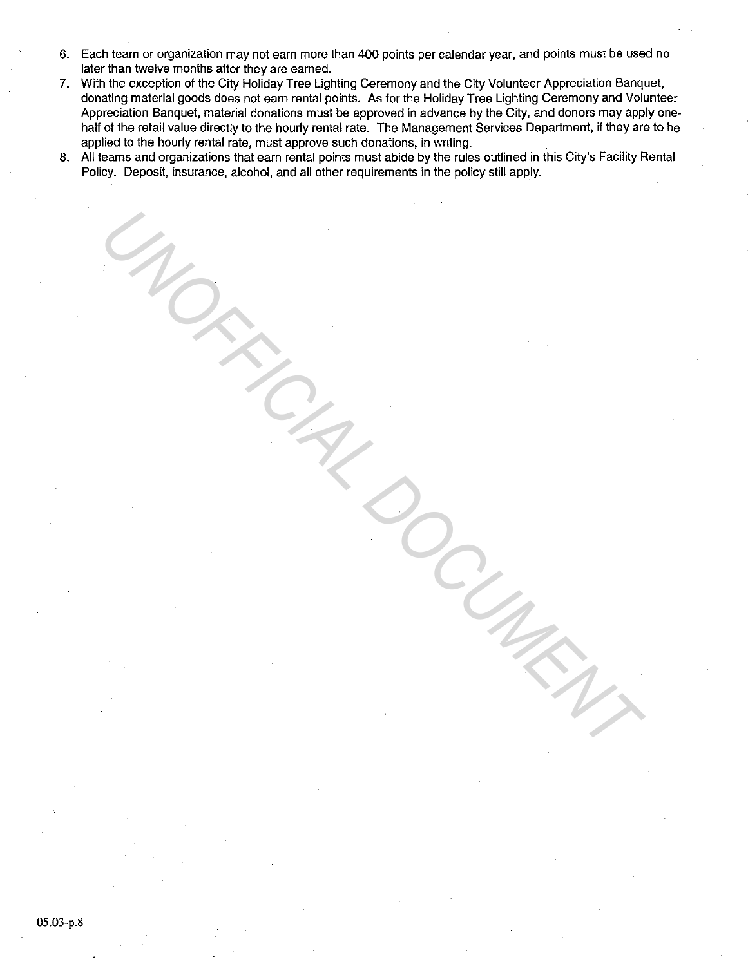- 6. Each team or organization may not earn more than 400 points per calendar year, and points must be used no later than twelve months after they are earned.
- 7. With the exception of the City Holiday Tree Lighting Ceremony and the City Volunteer Appreciation Banquet, donating material goods does not earn rental points. As for the Holiday Tree Lighting Ceremony and Volunteer Appreciation Banquet, material donations must be approved in advance by the City, and donors may apply onehalf of the retail value directly to the hourly rental rate. The Management Services Department, if they are to be applied to the hourly rental rate, must approve such donations, in writing.
- 8. All teams and organizations that earn rental points must abide by the rules outlined in this City's Facility Rental Policy. Deposit, insurance, alcohol, and all other requirements in the policy still apply.

UNOFFICIAL DOCUMENT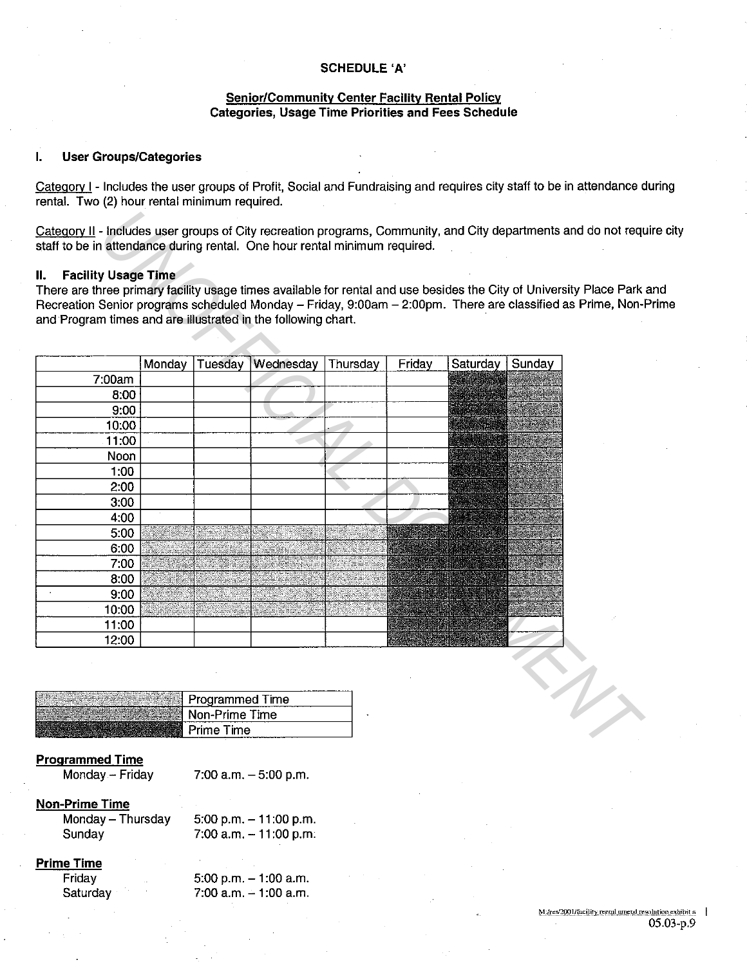#### **SCHEDULE 'A'**

#### **Senior/Community Center Facility Rental Policy Categories, Usage Time Priorities and Fees Schedule**

#### **I. User Groups/Categories**

Category I - Includes the user groups of Profit, Social and Fundraising and requires city staff to be in attendance during rental. Two (2) hour rental minimum required.

Category II - Includes user groups of City recreation programs, Community, and City departments and do not require city staff to be in attendance during rental. One hour rental minimum required.

## **II. Facility Usage Time**

There are three primary facility usage times available for rental and use besides the City of University Place Park and Recreation Senior programs scheduled Monday - Friday, 9:00am - 2:00pm. There are classified as Prime, Non-Prime and Program times and are illustrated in the following chart.

|        |        |         | and Program times and are illustrated in the following chart. |          |        | Recreation Senior programs scheduled Monday - Friday, 9:00am - 2:00pm. There are classified as Prime, Non- |        |
|--------|--------|---------|---------------------------------------------------------------|----------|--------|------------------------------------------------------------------------------------------------------------|--------|
|        |        |         |                                                               |          |        |                                                                                                            |        |
|        | Monday | Tuesday | Wednesday                                                     | Thursday | Friday | Saturday                                                                                                   | Sunday |
| 7:00am |        |         |                                                               |          |        |                                                                                                            |        |
| 8:00   |        |         |                                                               |          |        |                                                                                                            |        |
| 9:00   |        |         |                                                               |          |        |                                                                                                            |        |
| 10:00  |        |         |                                                               |          |        |                                                                                                            |        |
| 11:00  |        |         |                                                               |          |        |                                                                                                            |        |
| Noon   |        |         |                                                               |          |        |                                                                                                            |        |
| 1:00   |        |         |                                                               |          |        |                                                                                                            |        |
| 2:00   |        |         |                                                               |          |        |                                                                                                            |        |
| 3:00   |        |         |                                                               |          |        |                                                                                                            |        |
| 4:00   |        |         |                                                               |          |        |                                                                                                            |        |
| 5:00   |        |         |                                                               |          |        |                                                                                                            |        |
| 6:00   |        |         |                                                               |          |        |                                                                                                            |        |
| 7:00   |        |         |                                                               |          |        |                                                                                                            |        |
| 8:00   |        |         |                                                               |          |        |                                                                                                            |        |
| 9:00   |        |         |                                                               |          |        |                                                                                                            |        |
| 10:00  |        |         |                                                               |          |        |                                                                                                            |        |
| 11:00  |        |         |                                                               |          |        |                                                                                                            |        |
| 12:00  |        |         |                                                               |          |        |                                                                                                            |        |

| Programmed Time |
|-----------------|
| Non-Prime Time  |
|                 |

#### **Programmed Time**

Monday - Friday

7:00 a.m.  $-5:00$  p.m.

# **Non-Prime Time**

Monday- Thursday **Sunday** 

5:00 p.m. - 11:00 p.m.  $7:00$  a.m.  $-11:00$  p.m.

# **Prime Time**

Friday **Saturday**  5:00 p.m. - 1:00 a.m.  $7:00$  a.m.  $-1:00$  a.m.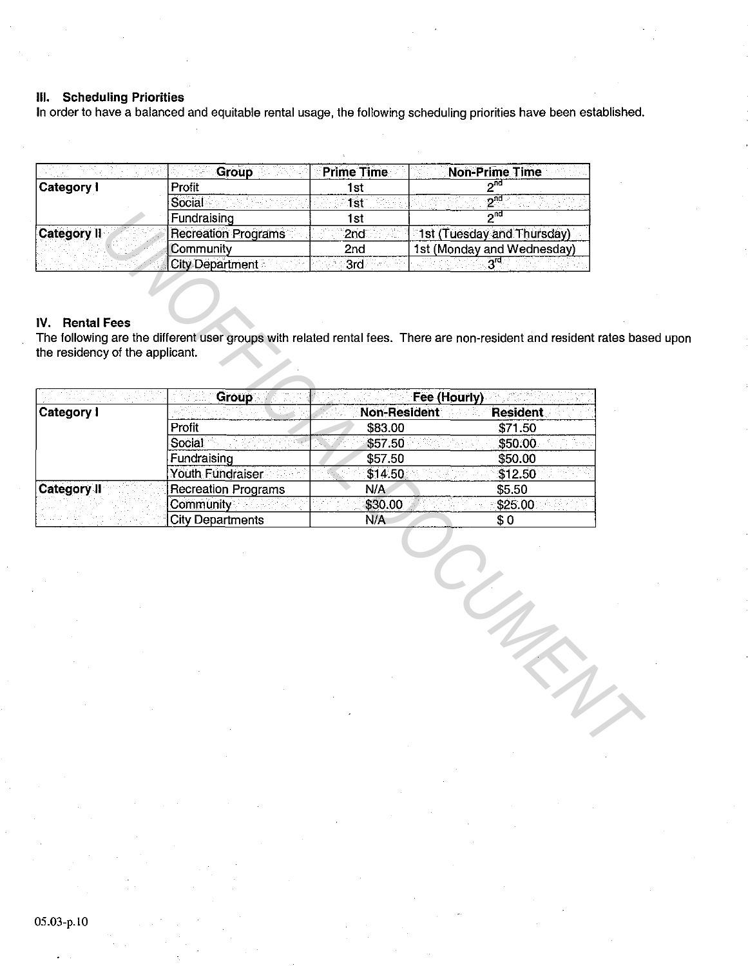# **Ill. Scheduling Priorities**

In order to have a balanced and equitable rental usage, the following scheduling priorities have been established.

|                    | Group                  | <b>Prime Time</b> | <b>Non-Prime Time</b>      |
|--------------------|------------------------|-------------------|----------------------------|
| Category I         | Profit                 | Ist               | ⊸™                         |
|                    | Social                 |                   | חת .                       |
|                    | Fundraising            | l st              | ረሰር                        |
| <b>Category II</b> | Recreation Programs    | 2nd               | 1st (Tuesday and Thursday) |
|                    | Community              | 2nd               | 1st (Monday and Wednesday) |
|                    | <b>City Department</b> | 3rd               | 5ra                        |

# **IV. Rental Fees**

The following are the different user groups with related rental fees. There are non-resident and resident rates based upon the residency of the applicant.

|                                                              | Fundraising                | 1st                 | $2^{n0}$                                                                                                            |
|--------------------------------------------------------------|----------------------------|---------------------|---------------------------------------------------------------------------------------------------------------------|
| <b>Category II</b>                                           | <b>Recreation Programs</b> | 2nd                 | 1st (Tuesday and Thursday)                                                                                          |
|                                                              | Community                  | 2nd                 | 1st (Monday and Wednesday)                                                                                          |
|                                                              | <b>City Department</b>     | 3rd                 | 3 <sup>rd</sup>                                                                                                     |
| <b>Rental Fees</b><br>IV.<br>the residency of the applicant. |                            |                     | The following are the different user groups with related rental fees. There are non-resident and resident rates bas |
|                                                              | <b>Group</b>               |                     | Fee (Hourly)                                                                                                        |
| <b>Category I</b>                                            |                            | <b>Non-Resident</b> | <b>Resident</b>                                                                                                     |
|                                                              | Profit                     | \$83.00             | \$71.50                                                                                                             |
|                                                              | Social                     | \$57.50             | \$50.00                                                                                                             |
|                                                              | Fundraising                | \$57.50             | \$50.00                                                                                                             |
|                                                              | Youth Fundraiser           | \$14.50             | \$12.50                                                                                                             |
| <b>Category II</b>                                           | <b>Recreation Programs</b> | N/A                 | \$5.50                                                                                                              |
|                                                              | Community                  | \$30.00             | \$25.00                                                                                                             |
|                                                              | <b>City Departments</b>    | N/A                 | \$0                                                                                                                 |
|                                                              |                            |                     |                                                                                                                     |
|                                                              |                            |                     |                                                                                                                     |
|                                                              |                            |                     |                                                                                                                     |
|                                                              |                            |                     |                                                                                                                     |
|                                                              |                            |                     |                                                                                                                     |
|                                                              |                            |                     |                                                                                                                     |